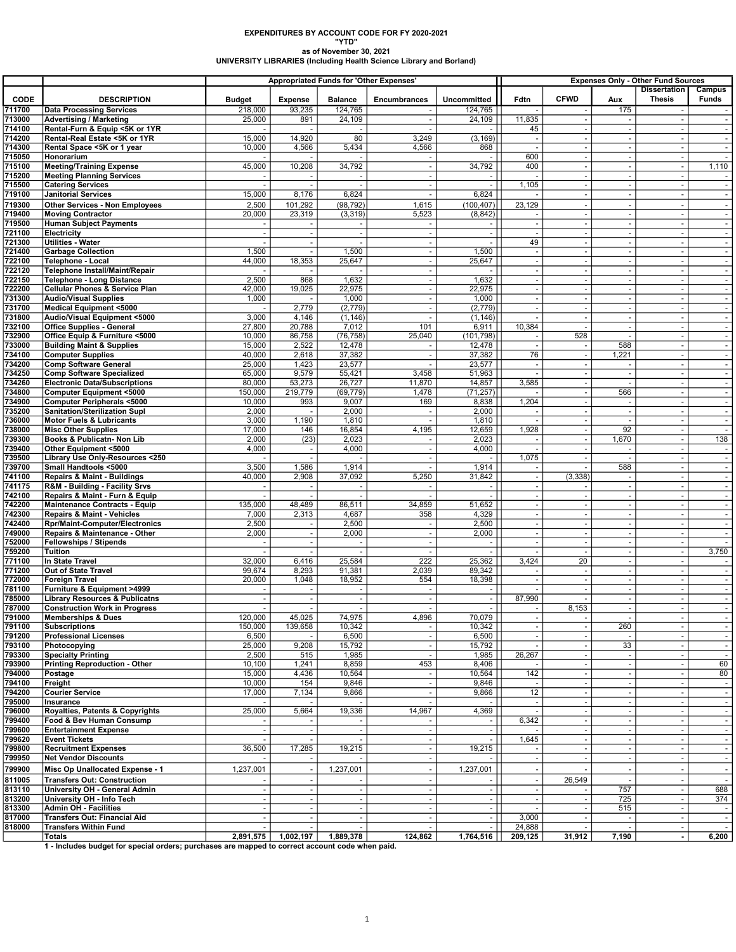## EXPENDITURES BY ACCOUNT CODE FOR FY 2020-2021 "YTD"

## as of November 30, 2021 UNIVERSITY LIBRARIES (Including Health Science Library and Borland)

|                  |                                                                                                           | Appropriated Funds for 'Other Expenses' |                                    |                          |                            |                          |                                      | <b>Expenses Only - Other Fund Sources</b><br><b>Dissertation</b><br>Campus |                                            |                                            |                                |  |
|------------------|-----------------------------------------------------------------------------------------------------------|-----------------------------------------|------------------------------------|--------------------------|----------------------------|--------------------------|--------------------------------------|----------------------------------------------------------------------------|--------------------------------------------|--------------------------------------------|--------------------------------|--|
| <b>CODE</b>      | <b>DESCRIPTION</b>                                                                                        | Budget                                  | <b>Expense</b>                     | <b>Balance</b>           | <b>Encumbrances</b>        | <b>Uncommitted</b>       | Fdtn                                 | <b>CFWD</b>                                                                | Aux                                        | <b>Thesis</b>                              | Funds                          |  |
| 711700           | <b>Data Processing Services</b>                                                                           | 218,000                                 | 93,235                             | 124,765                  |                            | 124,765                  |                                      |                                                                            | 175                                        |                                            |                                |  |
| 713000           | <b>Advertising / Marketing</b>                                                                            | 25,000                                  | 891                                | 24,109                   |                            | 24,109                   | 11,835                               |                                                                            | $\overline{\phantom{a}}$                   |                                            | $\sim$                         |  |
| 714100<br>714200 | Rental-Furn & Equip <5K or 1YR<br>Rental-Real Estate <5K or 1YR                                           | 15,000                                  | $\overline{\phantom{a}}$<br>14,920 | 80                       | 3,249                      | (3, 169)                 | 45<br>$\sim$                         | $\overline{\phantom{a}}$                                                   | $\blacksquare$<br>$\omega$                 | $\overline{a}$                             | $\sim$                         |  |
| 714300           | Rental Space <5K or 1 year                                                                                | 10,000                                  | 4,566                              | 5,434                    | 4,566                      | 868                      |                                      |                                                                            | $\overline{\phantom{a}}$                   |                                            |                                |  |
| 715050           | Honorarium                                                                                                |                                         |                                    |                          |                            |                          | 600                                  |                                                                            | $\overline{\phantom{a}}$                   |                                            |                                |  |
| 715100<br>715200 | <b>Meeting/Training Expense</b>                                                                           | 45,000                                  | 10,208<br>$\overline{\phantom{a}}$ | 34,792                   | $\sim$                     | 34,792                   | 400                                  | $\sim$                                                                     | $\blacksquare$<br>$\sim$                   | $\sim$                                     | 1,110                          |  |
| 715500           | <b>Meeting Planning Services</b><br><b>Catering Services</b>                                              | $\overline{\phantom{a}}$                | $\sim$                             |                          | $\overline{a}$             | $\sim$                   | 1,105                                | $\overline{\phantom{a}}$                                                   | $\omega$                                   | $\omega$                                   | $\sim$                         |  |
| 719100           | <b>Janitorial Services</b>                                                                                | 15,000                                  | 8,176                              | 6,824                    |                            | 6,824                    |                                      | $\overline{\phantom{a}}$                                                   | $\blacksquare$                             | $\overline{\phantom{a}}$                   | $\sim$                         |  |
| 719300           | <b>Other Services - Non Employees</b>                                                                     | 2,500                                   | 101,292                            | (98, 792)                | 1,615                      | (100, 407)               | 23,129                               |                                                                            |                                            |                                            |                                |  |
| 719400<br>719500 | <b>Moving Contractor</b><br>Human Subject Payments                                                        | 20,000<br>$\overline{\phantom{a}}$      | 23,319                             | (3, 319)                 | 5,523                      | (8, 842)<br>$\sim$       |                                      | $\sim$<br>$\overline{\phantom{a}}$                                         | $\omega$<br>$\overline{\phantom{a}}$       | $\sim$<br>$\overline{\phantom{a}}$         | $\sim$                         |  |
| 721100           | Electricity                                                                                               | ٠.                                      | $\blacksquare$                     | ÷.                       |                            | $\blacksquare$           |                                      | $\sim$                                                                     | $\overline{\phantom{a}}$                   | $\sim$                                     |                                |  |
| 721300           | <b>Utilities - Water</b>                                                                                  |                                         | $\sim$                             |                          | $\sim$                     | $\omega$                 | 49                                   | $\sim$                                                                     | $\sim$                                     | $\sim$                                     |                                |  |
| 721400<br>722100 | <b>Garbage Collection</b><br>Telephone - Local                                                            | 1,500<br>44,000                         | $\sim$<br>18,353                   | 1,500<br>25,647          | $\blacksquare$<br>$\omega$ | 1,500<br>25,647          | $\blacksquare$<br>$\sim$             | $\blacksquare$<br>$\sim$                                                   | $\blacksquare$<br>$\omega$                 | $\overline{\phantom{a}}$<br>$\sim$         |                                |  |
| 722120           | <b>Telephone Install/Maint/Repair</b>                                                                     |                                         |                                    |                          |                            |                          |                                      | $\overline{\phantom{a}}$                                                   | $\overline{\phantom{a}}$                   |                                            |                                |  |
| 722150           | <b>Telephone - Long Distance</b>                                                                          | 2,500                                   | 868                                | 1,632                    |                            | 1,632                    | $\overline{\phantom{a}}$             | $\sim$                                                                     | $\overline{\phantom{a}}$                   | $\sim$                                     |                                |  |
| 722200<br>731300 | <b>Cellular Phones &amp; Service Plan</b><br><b>Audio/Visual Supplies</b>                                 | 42,000<br>1,000                         | 19,025                             | 22,975<br>1,000          | $\omega$<br>$\sim$         | 22,975<br>1,000          | $\omega$<br>$\overline{\phantom{a}}$ | $\sim$                                                                     | $\omega$<br>$\overline{\phantom{a}}$       | $\sim$<br>$\sim$                           | $\sim$                         |  |
| 731700           | Medical Equipment <5000                                                                                   |                                         | 2,779                              | (2,779)                  | $\overline{\phantom{a}}$   | (2,779)                  | $\sim$                               | $\sim$                                                                     | $\blacksquare$                             | $\sim$                                     |                                |  |
| 731800           | Audio/Visual Equipment <5000                                                                              | 3,000                                   | 4,146                              | (1, 146)                 |                            | (1, 146)                 |                                      |                                                                            | $\overline{\phantom{a}}$                   | $\overline{a}$                             | $\sim$                         |  |
| 732100           | <b>Office Supplies - General</b>                                                                          | 27,800                                  | 20,788                             | 7,012                    | 101                        | 6,911                    | 10,384                               |                                                                            | $\overline{\phantom{a}}$                   | $\overline{\phantom{a}}$                   |                                |  |
| 732900<br>733000 | Office Equip & Furniture <5000<br><b>Building Maint &amp; Supplies</b>                                    | 10,000<br>15,000                        | 86,758<br>2,522                    | (76, 758)<br>12,478      | 25,040<br>$\blacksquare$   | (101, 798)<br>12,478     | $\blacksquare$                       | 528                                                                        | 588                                        | $\sim$<br>$\overline{\phantom{a}}$         |                                |  |
| 734100           | <b>Computer Supplies</b>                                                                                  | 40,000                                  | 2,618                              | 37,382                   |                            | 37,382                   | 76                                   |                                                                            | 1,221                                      | $\sim$                                     |                                |  |
| 734200           | <b>Comp Software General</b>                                                                              | 25,000                                  | 1,423                              | 23,577                   |                            | 23,577                   | $\overline{\phantom{a}}$             |                                                                            | $\overline{\phantom{a}}$                   |                                            |                                |  |
| 734250<br>734260 | <b>Comp Software Specialized</b><br><b>Electronic Data/Subscriptions</b>                                  | 65,000<br>80,000                        | 9,579<br>53,273                    | 55,421<br>26,727         | 3,458<br>11,870            | 51,963<br>14,857         | $\sim$<br>3,585                      | $\sim$<br>$\sim$                                                           | $\blacksquare$                             | $\sim$<br>$\sim$                           | $\sim$                         |  |
| 734800           | <b>Computer Equipment &lt;5000</b>                                                                        | 150,000                                 | 219,779                            | (69, 779)                | 1,478                      | (71, 257)                |                                      |                                                                            | 566                                        | $\overline{\phantom{a}}$                   |                                |  |
| 734900           | Computer Peripherals <5000                                                                                | 10,000                                  | 993                                | 9,007                    | 169                        | 8,838                    | 1,204                                | $\sim$                                                                     | $\sim$                                     | $\sim$                                     | $\sim$                         |  |
| 735200           | <b>Sanitation/Sterilization Supl</b>                                                                      | 2,000                                   | $\overline{\phantom{a}}$           | 2,000                    |                            | 2,000                    |                                      | $\overline{\phantom{a}}$                                                   | $\overline{\phantom{a}}$                   | $\overline{\phantom{a}}$                   | $\sim$                         |  |
| 736000<br>738000 | <b>Motor Fuels &amp; Lubricants</b><br><b>Misc Other Supplies</b>                                         | 3,000<br>17,000                         | 1,190<br>146                       | 1,810<br>16,854          | 4,195                      | 1,810<br>12,659          | 1,928                                | $\sim$                                                                     | 92                                         | $\sim$<br>$\sim$                           | $\sim$                         |  |
| 739300           | Books & Publicatn- Non Lib                                                                                | 2,000                                   | (23)                               | 2,023                    |                            | 2,023                    | $\sim$                               | $\blacksquare$                                                             | 1,670                                      | $\blacksquare$                             | 138                            |  |
| 739400           | Other Equipment <5000                                                                                     | 4,000                                   | $\blacksquare$                     | 4,000                    | $\sim$                     | 4,000                    |                                      | $\sim$                                                                     | $\sim$                                     | $\sim$                                     | $\sim$                         |  |
| 739500<br>739700 | Library Use Only-Resources <250<br>Small Handtools <5000                                                  | 3,500                                   | $\overline{\phantom{a}}$<br>1,586  | 1,914                    |                            | 1,914                    | 1,075                                |                                                                            | 588                                        | $\overline{a}$<br>$\overline{\phantom{a}}$ | $\blacksquare$                 |  |
| 741100           | <b>Repairs &amp; Maint - Buildings</b>                                                                    | 40,000                                  | 2,908                              | 37,092                   | 5,250                      | 31,842                   | $\sim$                               | (3, 338)                                                                   | $\sim$                                     | $\sim$                                     | $\sim$                         |  |
| 741175           | <b>R&amp;M - Building - Facility Srvs</b>                                                                 | ÷.                                      |                                    | $\sim$                   |                            | $\blacksquare$           |                                      |                                                                            | $\overline{\phantom{a}}$                   |                                            |                                |  |
| 742100<br>742200 | Repairs & Maint - Furn & Equip<br>Maintenance Contracts - Equip                                           | 135,000                                 | $\overline{\phantom{a}}$<br>48,489 | 86,511                   | 34,859                     | $\omega$<br>51,652       | $\sim$<br>$\overline{\phantom{a}}$   | $\overline{\phantom{a}}$                                                   | $\blacksquare$<br>$\overline{\phantom{a}}$ | $\sim$<br>$\overline{\phantom{a}}$         | $\sim$                         |  |
| 742300           | <b>Repairs &amp; Maint - Vehicles</b>                                                                     | 7,000                                   | 2,313                              | 4,687                    | 358                        | 4,329                    | $\overline{\phantom{a}}$             | $\sim$                                                                     | $\overline{\phantom{a}}$                   | $\sim$                                     |                                |  |
| 742400           | <b>Rpr/Maint-Computer/Electronics</b>                                                                     | 2,500                                   | $\overline{\phantom{a}}$           | 2,500                    | $\sim$                     | 2,500                    | $\sim$                               |                                                                            | $\omega$                                   | $\sim$                                     |                                |  |
| 749000<br>752000 | Repairs & Maintenance - Other<br>Fellowships / Stipends                                                   | 2,000                                   | $\sim$<br>$\sim$                   | 2,000                    | $\blacksquare$<br>$\sim$   | 2,000<br>$\sim$          | $\blacksquare$<br>$\sim$             | $\blacksquare$<br>$\sim$                                                   | $\blacksquare$<br>$\omega$                 | $\overline{\phantom{a}}$<br>$\sim$         | $\blacksquare$                 |  |
| 759200           | Tuition                                                                                                   |                                         | $\overline{\phantom{a}}$           |                          |                            | $\blacksquare$           |                                      |                                                                            | $\overline{\phantom{a}}$                   |                                            | 3,750                          |  |
| 771100           | In State Travel                                                                                           | 32,000                                  | 6,416                              | 25,584                   | 222                        | 25,362                   | 3,424                                | 20                                                                         | $\overline{\phantom{a}}$                   | $\sim$                                     |                                |  |
| 771200<br>772000 | Out of State Travel<br><b>Foreign Travel</b>                                                              | 99,674<br>20,000                        | 8,293<br>1,048                     | 91,381<br>18,952         | 2,039                      | 89,342                   |                                      | $\sim$                                                                     | $\blacksquare$                             | $\sim$<br>$\sim$                           | $\sim$                         |  |
| 781100           | Furniture & Equipment >4999                                                                               |                                         |                                    |                          | 554                        | 18,398<br>$\sim$         | $\overline{\phantom{a}}$             |                                                                            | $\blacksquare$<br>$\omega$                 | $\sim$                                     |                                |  |
| 785000           | <b>Library Resources &amp; Publicatns</b>                                                                 |                                         | $\blacksquare$                     | $\sim$                   | $\overline{\phantom{a}}$   | $\blacksquare$           | 87,990                               |                                                                            | $\overline{\phantom{a}}$                   | $\overline{a}$                             | $\sim$                         |  |
| 787000           | <b>Construction Work in Progress</b>                                                                      |                                         |                                    | $\overline{\phantom{a}}$ | $\overline{\phantom{a}}$   | $\sim$                   |                                      | 8,153                                                                      |                                            | $\overline{\phantom{a}}$                   |                                |  |
| 791000<br>791100 | Memberships & Dues<br>Subscriptions                                                                       | 120,000<br>150,000                      | 45,025<br>139,658                  | 74,975<br>10,342         | 4,896                      | 70,079<br>10,342         |                                      |                                                                            | 260                                        | $\blacksquare$                             |                                |  |
| 791200           | <b>Professional Licenses</b>                                                                              | 6,500                                   |                                    | 6,500                    |                            | 6,500                    |                                      |                                                                            |                                            |                                            |                                |  |
| 793100           | Photocopying                                                                                              | 25,000                                  | 9,208                              | 15,792                   |                            | 15,792                   |                                      |                                                                            | 33                                         |                                            |                                |  |
| 793300<br>793900 | <b>Specialty Printing</b><br><b>Printing Reproduction - Other</b>                                         | 2,500<br>10,100                         | 515<br>1,241                       | 1,985<br>8,859           | 453                        | 1,985<br>8,406           | 26,267                               | $\blacksquare$                                                             | $\overline{\phantom{a}}$<br>$\omega$       |                                            | $\overline{\phantom{a}}$<br>60 |  |
| 794000           | Postage                                                                                                   | 15,000                                  | 4,436                              | 10,564                   | $\overline{\phantom{a}}$   | 10,564                   | 142                                  |                                                                            | $\overline{\phantom{a}}$                   |                                            | 80                             |  |
| 794100           | Freight                                                                                                   | 10,000                                  | 154                                | 9,846                    |                            | 9,846                    |                                      |                                                                            | $\omega$                                   | ÷.                                         | $\sim$                         |  |
| 794200<br>795000 | <b>Courier Service</b><br>Insurance                                                                       | 17,000                                  | 7,134                              | 9,866                    |                            | 9,866                    | 12                                   | $\overline{\phantom{a}}$<br>$\sim$                                         | $\overline{\phantom{a}}$                   |                                            | $\sim$                         |  |
| 796000           | <b>Royalties, Patents &amp; Copyrights</b>                                                                | 25,000                                  | 5,664                              | 19,336                   | 14,967                     | 4,369                    |                                      |                                                                            | $\sim$                                     |                                            |                                |  |
| 799400           | Food & Bev Human Consump                                                                                  |                                         |                                    |                          |                            | $\sim$                   | 6,342                                | $\blacksquare$                                                             | $\blacksquare$                             | $\overline{\phantom{a}}$                   | $\overline{\phantom{a}}$       |  |
| 799600           | <b>Entertainment Expense</b>                                                                              |                                         | $\sim$                             |                          |                            | $\sim$                   |                                      |                                                                            | $\omega$                                   | ÷.                                         |                                |  |
| 799620<br>799800 | <b>Event Tickets</b><br><b>Recruitment Expenses</b>                                                       | 36,500                                  | 17,285                             | 19,215                   |                            | $\blacksquare$<br>19,215 | 1,645                                |                                                                            | $\overline{\phantom{a}}$                   |                                            |                                |  |
| 799950           | <b>Net Vendor Discounts</b>                                                                               |                                         |                                    |                          | $\sim$                     |                          |                                      | $\sim$                                                                     | $\blacksquare$                             | $\sim$                                     |                                |  |
| 799900           | Misc Op Unallocated Expense - 1                                                                           | 1,237,001                               | ÷,                                 | 1,237,001                | $\sim$                     | 1,237,001                |                                      |                                                                            |                                            |                                            |                                |  |
| 811005           | <b>Transfers Out: Construction</b>                                                                        |                                         |                                    |                          |                            | $\blacksquare$           |                                      | 26,549                                                                     |                                            | $\sim$                                     | $\sim$                         |  |
| 813110<br>813200 | University OH - General Admin<br>University OH - Info Tech                                                |                                         | $\blacksquare$                     | $\sim$                   |                            | $\sim$<br>$\sim$         | $\sim$                               |                                                                            | 757<br>725                                 | $\sim$                                     | 688<br>374                     |  |
| 813300           | <b>Admin OH - Facilities</b>                                                                              | $\overline{\phantom{a}}$                | $\blacksquare$                     | $\overline{\phantom{a}}$ | $\sim$                     | $\sim$                   |                                      |                                                                            | 515                                        | $\sim$                                     | $\sim$                         |  |
| 817000           | <b>Transfers Out: Financial Aid</b>                                                                       | ÷.                                      | $\blacksquare$                     | $\overline{\phantom{a}}$ |                            | $\blacksquare$           | 3,000                                |                                                                            | $\blacksquare$                             | $\blacksquare$                             |                                |  |
| 818000           | <b>Transfers Within Fund</b>                                                                              | $\sim$                                  | 1,002,197                          |                          | 124,862                    | $-1$                     | 24,888                               |                                                                            | $\blacksquare$                             | $\omega$                                   |                                |  |
|                  | Totals<br>1 - Includes budget for special orders; purchases are mapped to correct account code when paid. | 2,891,575                               |                                    | 1,889,378                |                            | 1,764,516                | 209,125                              | 31,912                                                                     | 7,190                                      | $\blacksquare$                             | 6,200                          |  |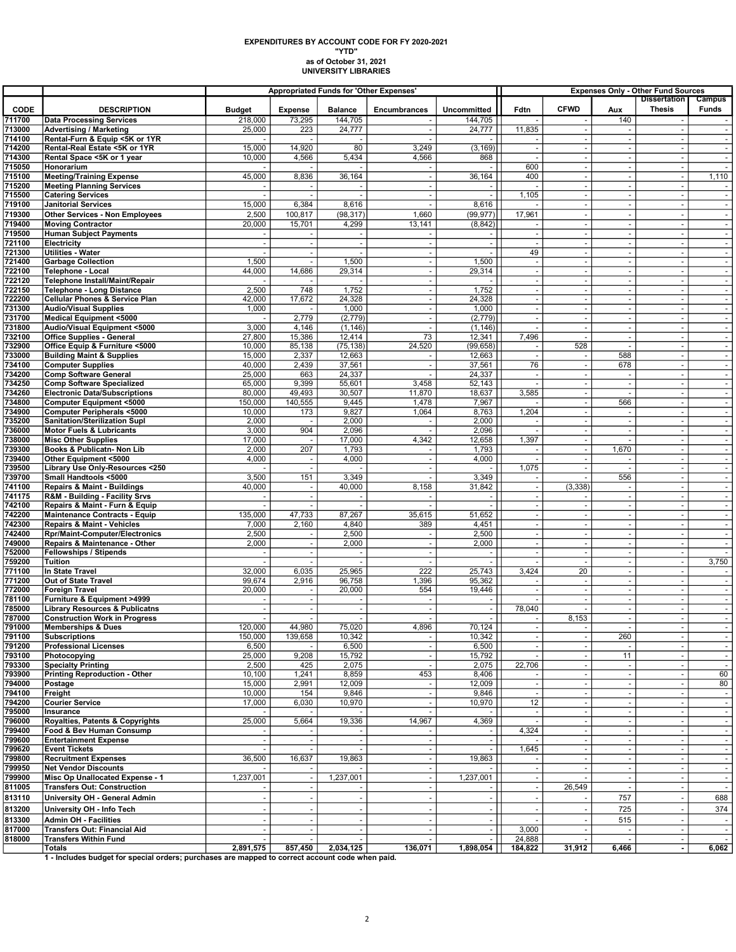## as of October 31, 2021 UNIVERSITY LIBRARIES EXPENDITURES BY ACCOUNT CODE FOR FY 2020-2021 "YTD"

|                  |                                                                     | <b>Appropriated Funds for 'Other Expenses'</b> |                                            |                          |                                                      |                          | <b>Expenses Only - Other Fund Sources</b> |                                                      |                                         |                                                      |                  |
|------------------|---------------------------------------------------------------------|------------------------------------------------|--------------------------------------------|--------------------------|------------------------------------------------------|--------------------------|-------------------------------------------|------------------------------------------------------|-----------------------------------------|------------------------------------------------------|------------------|
| <b>CODE</b>      | <b>DESCRIPTION</b>                                                  | <b>Budget</b>                                  | <b>Expense</b>                             | <b>Balance</b>           | Encumbrances                                         | Uncommitted              | Fdtn                                      | <b>CFWD</b>                                          | Aux                                     | <b>Dissertation</b><br><b>Thesis</b>                 | Campus<br>Funds  |
| 711700           | <b>Data Processing Services</b>                                     | 218,000                                        | 73,295                                     | 144,705                  |                                                      | 144,705                  |                                           |                                                      | 140                                     |                                                      |                  |
| 713000           | <b>Advertising / Marketing</b>                                      | 25,000                                         | 223                                        | 24,777                   |                                                      | 24,777                   | 11,835                                    |                                                      |                                         |                                                      | $\sim$           |
| 714100           | Rental-Furn & Equip <5K or 1YR                                      |                                                |                                            |                          |                                                      |                          |                                           |                                                      | $\blacksquare$                          |                                                      |                  |
| 714200           | Rental-Real Estate <5K or 1YR                                       | 15,000                                         | 14,920                                     | 80                       | 3,249                                                | (3, 169)                 | $\sim$                                    | $\overline{\phantom{a}}$                             | $\sim$                                  | $\overline{\phantom{a}}$                             | $\sim$           |
| 714300<br>715050 | Rental Space <5K or 1 year<br>Honorarium                            | 10,000                                         | 4,566                                      | 5,434                    | 4,566                                                | 868                      | $\overline{\phantom{a}}$<br>600           | $\overline{\phantom{a}}$<br>ä,                       | $\blacksquare$<br>$\tilde{\phantom{a}}$ | $\overline{\phantom{a}}$<br>$\tilde{\phantom{a}}$    | $\sim$<br>$\sim$ |
| 715100           | <b>Meeting/Training Expense</b>                                     | 45,000                                         | 8,836                                      | 36,164                   | $\overline{\phantom{a}}$                             | 36,164                   | 400                                       | $\overline{\phantom{a}}$                             | $\overline{\phantom{a}}$                | $\overline{\phantom{a}}$                             | 1,110            |
| 715200           | <b>Meeting Planning Services</b>                                    |                                                |                                            |                          |                                                      |                          |                                           |                                                      |                                         | $\overline{\phantom{a}}$                             |                  |
| 715500           | <b>Catering Services</b>                                            |                                                | ÷,                                         |                          | ÷.                                                   |                          | 1,105                                     | ÷.                                                   | $\overline{\phantom{a}}$                | $\sim$                                               | $\sim$           |
| 719100           | <b>Janitorial Services</b>                                          | 15,000                                         | 6,384                                      | 8,616                    | $\sim$                                               | 8,616                    | $\sim$                                    | $\sim$                                               | $\sim$                                  | $\sim$                                               | $\sim$           |
| 719300<br>719400 | <b>Other Services - Non Employees</b>                               | 2,500<br>20,000                                | 100,817<br>15,701                          | (98, 317)                | 1,660                                                | (99, 977)                | 17,961                                    | $\overline{\phantom{a}}$                             | $\blacksquare$<br>$\sim$                | $\overline{\phantom{a}}$<br>$\sim$                   | $\sim$           |
| 719500           | <b>Moving Contractor</b><br><b>Human Subject Payments</b>           |                                                |                                            | 4,299                    | 13,141                                               | (8, 842)                 | $\overline{\phantom{a}}$                  | $\sim$                                               | $\overline{\phantom{a}}$                | $\blacksquare$                                       | $\sim$           |
| 721100           | Electricity                                                         |                                                |                                            |                          |                                                      |                          |                                           |                                                      |                                         | $\overline{a}$                                       |                  |
| 721300           | <b>Utilities - Water</b>                                            |                                                | $\blacksquare$                             |                          | $\overline{\phantom{a}}$                             |                          | 49                                        | $\overline{\phantom{a}}$                             | $\blacksquare$                          | $\overline{\phantom{a}}$                             | $\sim$           |
| 721400           | <b>Garbage Collection</b>                                           | 1,500                                          | $\tilde{\phantom{a}}$                      | 1,500                    | $\sim$                                               | 1,500                    | $\sim$                                    | $\overline{\phantom{a}}$                             | $\omega$                                | $\overline{\phantom{a}}$                             | $\sim$           |
| 722100<br>722120 | <b>Telephone - Local</b>                                            | 44,000                                         | 14,686                                     | 29,314                   | ٠.<br>$\overline{\phantom{a}}$                       | 29,314                   | $\sim$<br>$\overline{\phantom{a}}$        | $\overline{\phantom{a}}$<br>$\overline{\phantom{a}}$ | $\sim$                                  | $\sim$<br>÷,                                         | $\sim$<br>$\sim$ |
| 722150           | Telephone Install/Maint/Repair<br><b>Telephone - Long Distance</b>  | 2,500                                          | 748                                        | 1,752                    |                                                      | 1,752                    | $\overline{\phantom{a}}$                  |                                                      |                                         | ÷.                                                   |                  |
| 722200           | <b>Cellular Phones &amp; Service Plan</b>                           | 42,000                                         | 17,672                                     | 24,328                   | $\overline{\phantom{a}}$                             | 24,328                   | $\overline{\phantom{a}}$                  | $\sim$                                               | $\overline{\phantom{a}}$                | $\overline{\phantom{a}}$                             | $\sim$           |
| 731300           | <b>Audio/Visual Supplies</b>                                        | 1,000                                          |                                            | 1,000                    | $\overline{\phantom{a}}$                             | 1,000                    | $\overline{\phantom{a}}$                  | ÷.                                                   |                                         | $\overline{\phantom{a}}$                             |                  |
| 731700           | <b>Medical Equipment &lt;5000</b>                                   |                                                | 2,779                                      | (2,779)                  | $\sim$                                               | (2,779)                  | $\sim$                                    | $\overline{\phantom{a}}$                             | $\sim$                                  | $\sim$                                               | $\sim$           |
| 731800           | Audio/Visual Equipment <5000                                        | 3,000<br>27,800                                | 4,146<br>15,386                            | (1, 146)                 | $\overline{\phantom{a}}$<br>73                       | (1, 146)                 |                                           | $\overline{\phantom{a}}$                             | $\overline{\phantom{a}}$                | $\blacksquare$                                       | $\sim$           |
| 732100<br>732900 | <b>Office Supplies - General</b><br>Office Equip & Furniture <5000  | 10,000                                         | 85,138                                     | 12,414<br>(75, 138)      | 24,520                                               | 12,341<br>(99, 658)      | 7,496<br>٠.                               | 528                                                  | $\blacksquare$<br>÷.                    | $\blacksquare$<br>$\blacksquare$                     | $\sim$           |
| 733000           | <b>Building Maint &amp; Supplies</b>                                | 15,000                                         | 2,337                                      | 12,663                   | $\sim$                                               | 12,663                   | $\sim$                                    | $\overline{\phantom{a}}$                             | 588                                     | ÷,                                                   | $\sim$           |
| 734100           | <b>Computer Supplies</b>                                            | 40,000                                         | 2,439                                      | 37,561                   | $\sim$                                               | 37,561                   | 76                                        | $\sim$                                               | 678                                     | $\sim$                                               | $\sim$           |
| 734200           | <b>Comp Software General</b>                                        | 25,000                                         | 663                                        | 24,337                   |                                                      | 24,337                   | $\overline{\phantom{a}}$                  |                                                      |                                         | $\overline{\phantom{a}}$                             | $\sim$           |
| 734250           | <b>Comp Software Specialized</b>                                    | 65,000                                         | 9,399                                      | 55,601                   | 3,458                                                | 52,143                   |                                           |                                                      | $\overline{a}$                          | $\blacksquare$                                       |                  |
| 734260<br>734800 | <b>Electronic Data/Subscriptions</b>                                | 80,000<br>150,000                              | 49,493<br>140,555                          | 30,507<br>9,445          | 11,870<br>1,478                                      | 18,637<br>7,967          | 3,585                                     | $\overline{\phantom{a}}$<br>$\overline{\phantom{a}}$ | $\blacksquare$<br>566                   | $\overline{\phantom{a}}$<br>$\overline{\phantom{a}}$ | $\sim$<br>$\sim$ |
| 734900           | <b>Computer Equipment &lt;5000</b><br>Computer Peripherals <5000    | 10,000                                         | 173                                        | 9,827                    | 1,064                                                | 8,763                    | 1,204                                     | $\overline{\phantom{a}}$                             | ÷,                                      | $\sim$                                               | $\sim$           |
| 735200           | <b>Sanitation/Sterilization Supl</b>                                | 2,000                                          | $\overline{a}$                             | 2,000                    |                                                      | 2,000                    |                                           |                                                      | $\overline{\phantom{a}}$                | $\blacksquare$                                       | $\sim$           |
| 736000           | <b>Motor Fuels &amp; Lubricants</b>                                 | 3,000                                          | 904                                        | 2,096                    |                                                      | 2,096                    |                                           |                                                      |                                         | $\overline{a}$                                       |                  |
| 738000           | <b>Misc Other Supplies</b>                                          | 17,000                                         |                                            | 17,000                   | 4,342                                                | 12,658                   | 1,397                                     | $\overline{\phantom{a}}$                             |                                         | $\blacksquare$                                       | $\sim$           |
| 739300           | Books & Publicatn- Non Lib                                          | 2,000                                          | 207                                        | 1,793                    |                                                      | 1,793                    |                                           | $\sim$                                               | 1,670                                   | $\overline{\phantom{a}}$                             | $\sim$           |
| 739400<br>739500 | Other Equipment <5000<br>Library Use Only-Resources <250            | 4,000                                          | $\overline{\phantom{a}}$<br>$\blacksquare$ | 4,000                    | ٠.                                                   | 4,000                    | 1,075                                     | ٠.                                                   | $\overline{\phantom{a}}$                | $\overline{\phantom{a}}$<br>÷,                       | $\sim$<br>$\sim$ |
| 739700           | Small Handtools <5000                                               | 3,500                                          | 151                                        | 3,349                    |                                                      | 3,349                    |                                           |                                                      | 556                                     | $\overline{a}$                                       |                  |
| 741100           | <b>Repairs &amp; Maint - Buildings</b>                              | 40,000                                         | $\overline{\phantom{a}}$                   | 40,000                   | 8,158                                                | 31,842                   | $\overline{\phantom{a}}$                  | (3, 338)                                             | $\overline{\phantom{a}}$                | $\overline{\phantom{a}}$                             | $\sim$           |
| 741175           | R&M - Building - Facility Srvs                                      |                                                | $\blacksquare$                             |                          |                                                      |                          |                                           |                                                      | $\sim$                                  | $\overline{\phantom{a}}$                             |                  |
| 742100           | Repairs & Maint - Furn & Equip                                      |                                                | $\sim$                                     |                          |                                                      |                          | $\overline{\phantom{a}}$                  | $\overline{\phantom{a}}$                             | $\sim$                                  | $\sim$                                               | $\sim$           |
| 742200<br>742300 | <b>Maintenance Contracts - Equip</b><br>Repairs & Maint - Vehicles  | 135,000<br>7,000                               | 47,733<br>2,160                            | 87,267<br>4,840          | 35,615<br>389                                        | 51,652<br>4,451          | $\overline{\phantom{a}}$                  | $\sim$                                               | $\mathbf{r}$                            | $\blacksquare$<br>$\ddot{\phantom{1}}$               | $\sim$           |
| 742400           | Rpr/Maint-Computer/Electronics                                      | 2,500                                          |                                            | 2,500                    | ٠.                                                   | 2,500                    | $\overline{\phantom{a}}$                  | $\overline{\phantom{a}}$                             | $\blacksquare$                          | $\blacksquare$                                       | $\sim$           |
| 749000           | Repairs & Maintenance - Other                                       | 2,000                                          | $\blacksquare$                             | 2,000                    |                                                      | 2,000                    | $\sim$                                    |                                                      | $\blacksquare$                          | ÷,                                                   | $\sim$           |
| 752000           | <b>Fellowships / Stipends</b>                                       |                                                | $\sim$                                     | $\overline{a}$           | $\sim$                                               | $\blacksquare$           | $\sim$                                    | $\sim$                                               | $\omega$                                | $\sim$                                               | $\sim$           |
| 759200           | <b>Tuition</b>                                                      |                                                | $\blacksquare$                             |                          |                                                      |                          |                                           |                                                      |                                         | $\overline{\phantom{a}}$                             | 3,750            |
| 771100<br>771200 | In State Travel<br>Out of State Travel                              | 32,000<br>99,674                               | 6,035<br>2,916                             | 25,965<br>96,758         | 222<br>1,396                                         | 25,743<br>95,362         | 3,424<br>$\overline{\phantom{a}}$         | 20<br>$\overline{\phantom{a}}$                       | $\overline{\phantom{a}}$<br>$\sim$      | $\blacksquare$<br>$\sim$                             | $\sim$<br>$\sim$ |
| 772000           | Foreign Travel                                                      | 20,000                                         | $\overline{\phantom{a}}$                   | 20,000                   | 554                                                  | 19,446                   |                                           |                                                      | $\blacksquare$                          | $\overline{\phantom{a}}$                             | $\sim$           |
| 781100           | Furniture & Equipment >4999                                         |                                                | $\overline{\phantom{a}}$                   |                          | ٠.                                                   |                          |                                           | $\overline{\phantom{a}}$                             | $\blacksquare$                          | $\sim$                                               | $\sim$           |
| 785000           | <b>Library Resources &amp; Publicatns</b>                           |                                                | $\blacksquare$                             | $\sim$                   | $\overline{\phantom{a}}$                             | $\blacksquare$           | 78,040                                    |                                                      | $\overline{\phantom{a}}$                | $\sim$                                               | $\sim$           |
| 787000           | <b>Construction Work in Progress</b>                                |                                                |                                            |                          |                                                      |                          |                                           | 8,153                                                |                                         | $\overline{\phantom{a}}$                             | $\sim$           |
| 791000<br>791100 | Memberships & Dues<br><b>Subscriptions</b>                          | 120,000<br>150,000                             | 44,980<br>139,658                          | 75,020<br>10,342         | 4,896                                                | 70,124<br>10,342         | $\blacksquare$                            |                                                      | 260                                     | $\sim$                                               | $\sim$           |
| 791200           | <b>Professional Licenses</b>                                        | 6,500                                          |                                            | 6,500                    |                                                      | 6,500                    | ٠.                                        |                                                      |                                         | $\overline{\phantom{a}}$                             | $\sim$           |
| 793100           | Photocopying                                                        | 25,000                                         | 9,208                                      | 15,792                   |                                                      | 15,792                   |                                           |                                                      | 11                                      | $\sim$                                               | $\sim$           |
| 793300           | <b>Specialty Printing</b>                                           | 2,500                                          | 425                                        | 2,075                    |                                                      | 2,075                    | 22,706                                    |                                                      | $\overline{\phantom{a}}$                | $\overline{\phantom{a}}$                             | $\sim$           |
| 793900           | <b>Printing Reproduction - Other</b>                                | 10,100                                         | 1,241                                      | 8,859                    | 453                                                  | 8,406                    |                                           |                                                      | $\blacksquare$                          | $\overline{\phantom{a}}$                             | 60               |
| 794000<br>794100 | Postage<br>Freight                                                  | 15,000<br>10,000                               | 2,991<br>154                               | 12,009<br>9,846          | $\overline{\phantom{a}}$<br>÷.                       | 12,009<br>9,846          |                                           | $\overline{\phantom{a}}$                             | $\sim$<br>$\overline{\phantom{a}}$      | $\overline{\phantom{a}}$<br>$\blacksquare$           | 80<br>$\sim$     |
| 794200           | <b>Courier Service</b>                                              | 17,000                                         | 6,030                                      | 10,970                   |                                                      | 10,970                   | 12                                        |                                                      | $\overline{\phantom{a}}$                | $\overline{\phantom{a}}$                             | $\sim$           |
| 795000           | Insurance                                                           |                                                |                                            |                          |                                                      |                          |                                           |                                                      |                                         |                                                      |                  |
| 796000           | Royalties, Patents & Copyrights                                     | 25,000                                         | 5,664                                      | 19,336                   | 14,967                                               | 4,369                    |                                           |                                                      | $\blacksquare$                          | $\blacksquare$                                       | $\sim$           |
| 799400           | Food & Bev Human Consump                                            |                                                |                                            |                          |                                                      |                          | 4,324                                     |                                                      | $\mathbf{r}$                            |                                                      | $\sim$           |
| 799600<br>799620 | <b>Entertainment Expense</b><br><b>Event Tickets</b>                |                                                | $\sim$                                     | $\overline{\phantom{a}}$ | ٠.                                                   | $\omega$                 | 1,645                                     | $\overline{\phantom{a}}$                             | $\sim$                                  | $\sim$<br>$\overline{\phantom{a}}$                   | $\sim$<br>$\sim$ |
| 799800           | <b>Recruitment Expenses</b>                                         | 36,500                                         | 16,637                                     | 19,863                   |                                                      | 19,863                   |                                           |                                                      |                                         |                                                      |                  |
| 799950           | <b>Net Vendor Discounts</b>                                         |                                                |                                            |                          | $\sim$                                               |                          | $\overline{\phantom{a}}$                  |                                                      | $\sim$                                  | $\blacksquare$                                       | $\sim$           |
| 799900           | Misc Op Unallocated Expense - 1                                     | 1,237,001                                      | $\blacksquare$                             | 1,237,001                | $\overline{\phantom{a}}$                             | 1,237,001                | $\overline{\phantom{a}}$                  |                                                      | $\sim$                                  | $\overline{\phantom{a}}$                             | $\sim$           |
| 811005           | <b>Transfers Out: Construction</b>                                  |                                                |                                            |                          | $\sim$                                               | $\blacksquare$           | $\sim$                                    | 26,549                                               | $\sim$                                  | $\sim$                                               | $\sim$           |
| 813110           | University OH - General Admin                                       |                                                |                                            |                          |                                                      | $\sim$                   |                                           |                                                      | 757                                     |                                                      | 688              |
| 813200           | University OH - Info Tech                                           |                                                |                                            |                          |                                                      | $\overline{\phantom{a}}$ |                                           |                                                      | 725                                     | $\sim$                                               | 374              |
| 813300           | <b>Admin OH - Facilities</b>                                        |                                                |                                            |                          |                                                      |                          |                                           |                                                      | 515                                     | $\sim$                                               |                  |
| 817000<br>818000 | <b>Transfers Out: Financial Aid</b><br><b>Transfers Within Fund</b> | $\sim$                                         | $\blacksquare$<br>$\blacksquare$           | $\sim$                   | $\overline{\phantom{a}}$<br>$\overline{\phantom{a}}$ | $\blacksquare$           | 3,000<br>24,888                           | $\overline{\phantom{a}}$                             | $\overline{\phantom{a}}$<br>$\sim$      | $\overline{\phantom{a}}$                             | $\sim$<br>$\sim$ |
|                  | Totals                                                              | 2,891,575                                      | 857,450                                    | 2,034,125                | 136,071                                              | 1,898,054                | 184,822                                   | 31,912                                               | 6,466                                   | $\overline{\phantom{a}}$<br>$\blacksquare$           | 6,062            |
|                  |                                                                     |                                                |                                            |                          |                                                      |                          |                                           |                                                      |                                         |                                                      |                  |

1 - Includes budget for special orders; purchases are mapped to correct account code when paid.